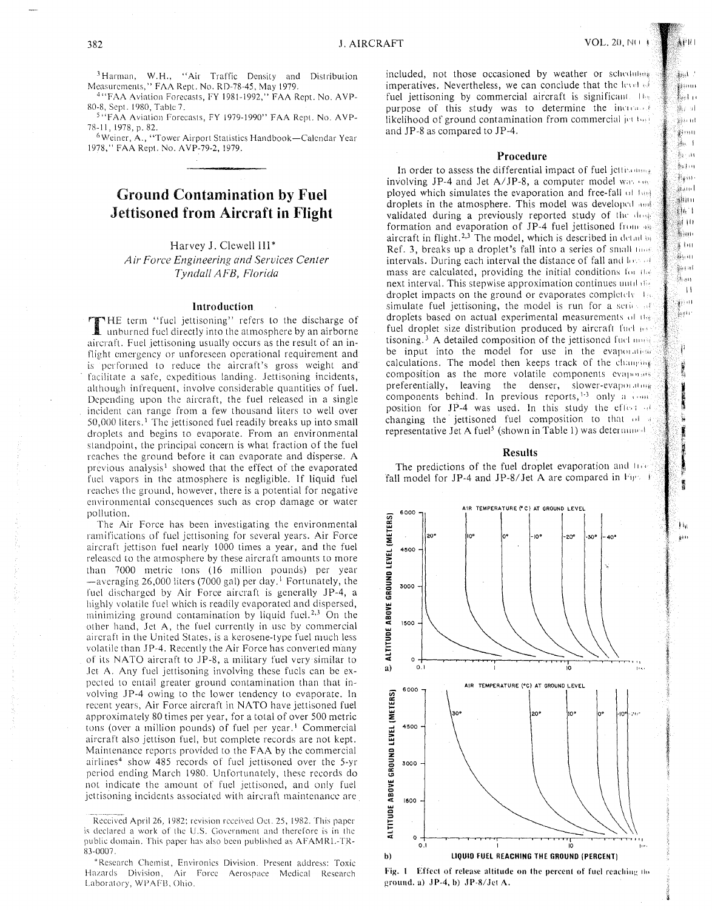!' ;~.· .<br>.<br>.<br>. ~ ·'I

izal -.<br>∰§§91∪1 ∦<br>≹erl 19 ∰. ul işa nt 。<br>第<sup>3</sup>99月 瓶干 §a an 暴討市  $\frac{1}{2}$ äant រូវបោ ∰h I 羅田 ∯}iiti ≸ मि। ..<br>∰}⊹ill e<br>Kristi និនបា  $\| \cdot \|$ ýi ar }<br>‰tir

> I k I I' "

' !' !!!

!Ill  $\frac{1}{2}$  i I I **interests** 

**Indiana Andrew Maria Barat and Andrew Maria Barat and Andrew Maria Barat and Andrew Maria Barat and Andrew Maria Barat and Andrew Maria Barat and Andrew Maria Barat and Andrew Maria Barat and Andrew Maria Barat and Andrew** 

t •e( ,,

j

·'

I ·I

<sup>3</sup> Harman, W.H., "Air Traffic Density and Distribution Measurements," FAA Rept. No. RD-78-45, May 1979.

<sup>4</sup> "FAA Aviation Forecasts, FY 1981-1992," FAA Rept. No. AVP-80-8, Sept. 1980, Table 7.

<sup>5</sup> "FAA Aviation Forecasts, FY 1979-1990" FAA Rept. No. AVP-78-11, 1978, p. 82.

<sup>6</sup> Weiner, A., "Tower Airport Statistics Handbook-Calendar Year 1978," FAA Rept. No. AVP-79-2, 1979.

# Ground Contamination by Fuel Jettisoned from Aircraft in Flight

# Harvey J. Clewell III\*

*Air Force Engineering and Services Center Tyndall AFB, Florida* 

### Introduction

THE term "fuel jettisoning" refers to the discharge of unburned fuel directly into the atmosphere by an airborne aircraft. Fuel jettisoning usually occurs as the result of an inflight emergency or unforeseen operational requirement and is performed to reduce the aircraft's gross weight and facilitate a safe, expeditious landing. Jettisoning incidents, although infrequent, involve considerable quantities of fuel. Depending upon the aircraft, the fuel released in a single incident can range from a few thousand liters to well over 50,000 liters. 1 The jettisoned fuel readily breaks up into small droplets and begins to evaporate. From an environmental standpoint, the principal concern is what fraction of the fuel reaches the ground before it can evaporate and disperse. A previous analysis<sup>1</sup> showed that the effect of the evaporated fuel vapors in the atmosphere is negligible. If liquid fuel reaches the ground, however, there is a potential for negative environmental consequences such as crop damage or water pollution.

The Air Force has been investigating the environmental ramifications of fuel jettisoning for several years. Air Force aircraft jettison fuel nearly 1000 times a year, and the fuel released to the atmosphere by these aircraft amounts to more than 7000 metric tons (16 million pounds) per year  $-$ averaging 26,000 liters (7000 gal) per day.<sup>1</sup> Fortunately, the fuel discharged by Air Force aircraft is generally JP-4, a highly volatile fuel which is readily evaporated and dispersed, minimizing ground contamination by liquid fuel.<sup>2,3</sup> On the other hand, Jet A, the fuel currently in usc by commercial aircraft in the United States, is a kerosene-type fuel much less volatile than JP-4. Recently the Air Force has converted many of its NATO aircraft to JP-8, a military fuel very similar to .let A. Any fuel jettisoning involving these fuels can be expected to entail greater ground contamination than that involving JP-4 owing to the lower tendency to evaporate. In recent years, Air Force aircraft in NATO have jettisoned fuel approximately 80 times per year, for a total of over 500 metric tons (over a million pounds) of fuel per year.<sup>1</sup> Commercial aircraft also jettison fuel, but complete records are not kept. Maintenance reports provided to the FAA by the commercial airlines<sup>4</sup> show 485 records of fuel jettisoned over the 5-yr period ending March 1980. Unfortunately, these records do not indicate the amount of fuel jettisoned, and only fuel jettisoning incidents associated with aircraft maintenance are

included, not those occasioned by weather or schedule imperatives. Nevertheless, we can conclude that the level of fuel jettisoning by commercial aircraft is significant.  $11$ purpose of this study was to determine the increaser likelihood of ground contamination from commercial  $|e|$   $\{e\}$ and JP-8 as compared to JP-4.

#### Procedure

In order to assess the differential impact of fuel jettimones involving JP-4 and Jet A/JP-8, a computer model was  $\frac{1}{2}$ ployed which simulates the evaporation and free-fall of Inna droplets in the atmosphere. This model was developed and validated during a previously reported study of the door formation and evaporation of JP-4 fuel jettisoned from  $\frac{411}{111}$ aircraft in flight.<sup>2,3</sup> The model, which is described in detail Ref. 3, breaks up a droplet's fall into a series of small  $\text{max}$ intervals. During each interval the distance of fall and  $\log \phi$ mass are calculated, providing the initial conditions for the next interval. This stepwise approximation continues until disdroplet impacts on the ground or evaporates completely.  $\mathbf{1}_{10}$ simulate fuel jettisoning, the model is run for a serie of droplets based on actual experimental measurements of the fuel droplet size distribution produced by aircraft fuch per tisoning.<sup>3</sup> A detailed composition of the jettisoned fuclament be input into the model for use in the evaporatiest calculations. The model then keeps track of the champing composition as the more volatile components evaporates preferentially, leaving the denser, slower-evaporating components behind. In previous reports,  $\frac{1}{3}$  only a  $\frac{1}{2}$ position for JP-4 was used. In this study the effect  $\cdot$ changing the jettisoned fuel composition to that  $\omega$ representative Jet A fuel<sup>5</sup> (shown in Table 1) was determinate

### Results

The predictions of the fuel droplet evaporation and  $1/\sqrt{v}$ fall model for JP-4 and JP-8/Jet A are compared in Fig. 1.



Fig. 1 Effect of release altitude on the percent of fuel reaching the ground. a)  $JP-4$ , b)  $JP-8/Jet A$ .

Received April 26, 1982; revision received Oct. 25, 1982. This paper is declared a work of the U.S. Government and therefore is in the public domain. This paper has also been published as AFAMRL-TR-83-0007.

<sup>&#</sup>x27;Research Chemist, Environics Division. Present address: Toxic Hazards Division, Air Force Aerospace Medical Research Laboratory, WPAFB, Ohio.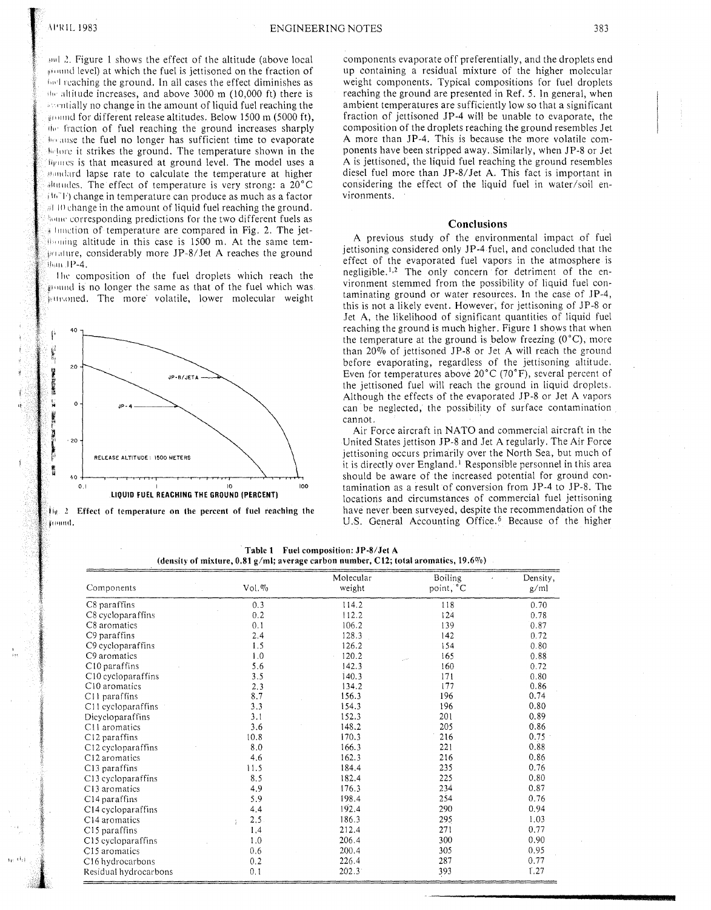and 2. Figure 1 shows the effect of the altitude (above local ground level) at which the fuel is jettisoned on the fraction of bull reaching the ground. In all cases the effect diminishes as the altitude increases, and above 3000 m  $(10,000 \text{ ft})$  there is spendially no change in the amount of liquid fuel reaching the ground for different release altitudes. Below 1500 m (5000 ft), the fraction of fuel reaching the ground increases sharply because the fuel no longer has sufficient time to evaporate before it strikes the ground. The temperature shown in the Deputes is that measured at ground level. The model uses a abundard lapse rate to calculate the temperature at higher  $\frac{1}{2}$  and  $\frac{1}{2}$  and  $\frac{1}{2}$  and  $\frac{1}{2}$  and  $\frac{1}{2}$  and  $\frac{1}{2}$  and  $\frac{1}{2}$  and  $\frac{1}{2}$  and  $\frac{1}{2}$  and  $\frac{1}{2}$  and  $\frac{1}{2}$  and  $\frac{1}{2}$  and  $\frac{1}{2}$  and  $\frac{1}{2}$  and  $\frac{1}{2}$  and  $\frac{1}{2}$  a (16"F) change in temperature can produce as much as a factor #10 change in the amount of liquid fuel reaching the ground. home corresponding predictions for the two different fuels as # function of temperature are compared in Fig. 2. The jetsoming altitude in this case is 1500 m. At the same temgenature, considerably more JP-8/Jet A reaches the ground Ban JP-4.

The composition of the fuel droplets which reach the pound is no longer the same as that of the fuel which was ensoned. The more volatile, lower molecular weight



 $\mathfrak{f}_{\mathfrak{h}}$ . 2 Effect of temperature on the percent of fuel reaching the jioind.

(den:

components evaporate off preferentially, and the droplets end up containing a residual mixture of the higher molecular weight components. Typical compositions for fuel droplets reaching the ground are presented in Ref. 5. In general, when ambient temperatures are sufficiently low so that a significant fraction of jettisoned JP-4 will be unable to evaporate, the composition of the droplets reaching the ground resembles Jet A more than JP-4. This is because the more volatile components have been stripped away. Similarly, when JP-8 or Jet A is jettisoned, the liquid fuel reaching the ground resembles diesel fuel more than JP-8/Jet A. This fact is important in considering the effect of the liquid fuel in water/soil environments.

## Conclusions

A previous study of the environmental impact of fuel jettisoning considered only JP-4 fuel, and concluded that the effect of the evaporated fuel vapors in the atmosphere is negligible.<sup>1,2</sup> The only concern for detriment of the environment stemmed from the possibility of liquid fuel contaminating ground or water resources. In the case of JP-4, this is not a likely event. However, for jettisoning of JP-8 or Jet A, the likelihood of significant quantities of liquid fuel reaching the ground is much higher. Figure 1 shows that when the temperature at the ground is below freezing  $(0^{\circ}C)$ , more than 20% of jettisoned JP-8 or Jet A will reach the ground before evaporating, regardless of the jettisoning altitude. Even for temperatures above  $20^{\circ}$ C (70 $^{\circ}$ F), several percent of the jettisoned fuel will reach the ground in liquid droplets. Although the effects of the evaporated JP-8 or Jet A vapors can be neglected, the possibility of surface contamination cannot.

Air Force aircraft in NATO and commercial aircraft in the United States jettison JP-8 and Jet A regularly. The Air Force jettisoning occurs primarily over the North Sea, but much of it is directly over England.<sup>1</sup> Responsible personnel in this area should be aware of the increased potential for ground contamination as a result of conversion from JP-4 to JP-8. The locations and circumstances of commercial fuel jettisoning have never been surveyed, despite the recommendation of the U.S. General Accounting Office.<sup>6</sup> Because of the higher

| Table 1 | <b>Fuel composition: JP-8/Jet A</b>                                             |  |
|---------|---------------------------------------------------------------------------------|--|
|         | sity of mixture, 0.81 g/ml; average carbon number, C12; total aromatics, 19.6%) |  |

| Components                     | $Vol. \%$ | Molecular<br>weight | Boiling<br>point, °C | Density,<br>g/ml |
|--------------------------------|-----------|---------------------|----------------------|------------------|
| C8 paraffins                   | 0.3       | 114.2               | 118                  | 0.70             |
| C8 cycloparaffins              | 0.2       | 112.2               | 124                  | 0.78             |
| C8 aromatics                   | 0.1       | 106.2               | 139                  | 0.87             |
| C9 paraffins                   | 2.4       | 128.3               | 142                  | 0.72             |
| C9 cycloparaffins              | 1.5       | 126.2               | 154                  | 0.80             |
| C9 aromatics                   | 1.0       | 120.2               | 165                  | 0.88             |
| C10 paraffins                  | 5.6       | 142.3               | 160                  | 0.72             |
| C <sub>10</sub> cycloparaffins | 3.5       | 140.3               | 171                  | 0.80             |
| C <sub>10</sub> aromatics      | 2.3       | 134.2               | 177                  | 0.86             |
| C11 paraffins                  | 8.7       | 156.3               | 196                  | 0.74             |
| C11 cycloparaffins             | 3.3       | 154.3               | 196                  | 0.80             |
| Dicycloparaffins               | 3.1       | 152.3               | 201                  | 0.89             |
| C11 aromatics                  | 3.6       | 148.2               | 205                  | 0.86             |
| C12 paraffins                  | 10.8      | 170.3               | 216                  | 0.75             |
| C <sub>12</sub> cycloparaffins | 8.0       | 166.3               | 221                  | 0.88             |
| C <sub>12</sub> aromatics      | 4.6       | 162.3               | 216                  | 0.86             |
| C <sub>13</sub> paraffins      | 11.5      | 184.4               | 235                  | 0.76             |
| C13 cycloparaffins             | 8.5       | 182.4               | 225                  | 0.80             |
| C13 aromatics                  | 4.9       | 176.3               | 234                  | 0.87             |
| C <sub>14</sub> paraffins      | 5.9       | 198.4               | 254                  | 0.76             |
| C <sub>14</sub> cycloparaffins | 4.4       | 192.4               | 290                  | 0.94             |
| C <sub>14</sub> aromatics      | 2,5<br>÷  | 186.3               | 295                  | 1.03             |
| C <sub>15</sub> paraffins      | 1.4       | 212.4               | 271                  | 0.77             |
| C15 eycloparaffins             | 1.0       | 206.4               | 300                  | 0.90             |
| C <sub>15</sub> aromatics      | 0.6       | 200.4               | 305                  | 0.95             |
| C <sub>16</sub> hydrocarbons   | 0.2       | 226.4               | 287                  | 0.77             |
| Residual hydrocarbons          | 0.1       | 202.3               | 393                  | 1.27             |